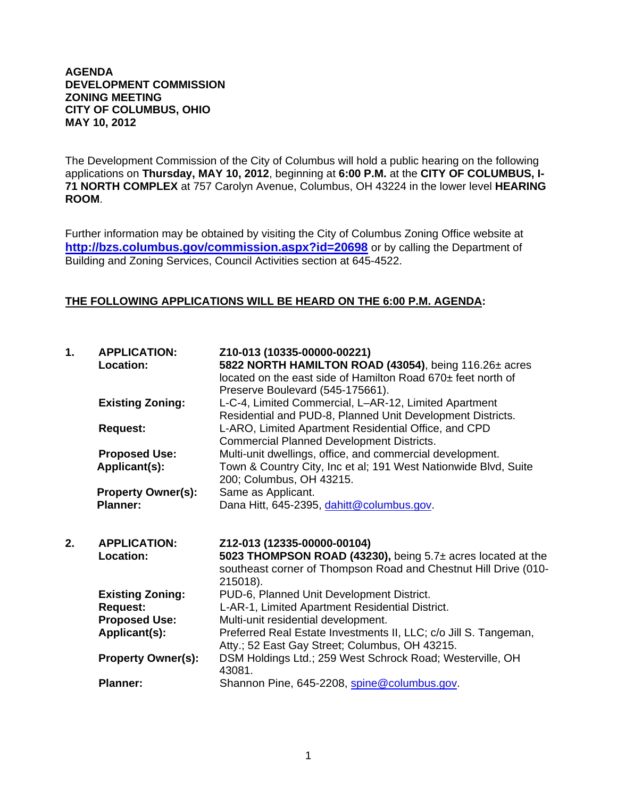## **AGENDA DEVELOPMENT COMMISSION ZONING MEETING CITY OF COLUMBUS, OHIO MAY 10, 2012**

The Development Commission of the City of Columbus will hold a public hearing on the following applications on **Thursday, MAY 10, 2012**, beginning at **6:00 P.M.** at the **CITY OF COLUMBUS, I-71 NORTH COMPLEX** at 757 Carolyn Avenue, Columbus, OH 43224 in the lower level **HEARING ROOM**.

Further information may be obtained by visiting the City of Columbus Zoning Office website at **http://bzs.columbus.gov/commission.aspx?id=20698** or by calling the Department of Building and Zoning Services, Council Activities section at 645-4522.

## **THE FOLLOWING APPLICATIONS WILL BE HEARD ON THE 6:00 P.M. AGENDA:**

| 1. | <b>APPLICATION:</b><br>Location:                                                    | Z10-013 (10335-00000-00221)<br>5822 NORTH HAMILTON ROAD (43054), being 116.26± acres<br>located on the east side of Hamilton Road 670± feet north of<br>Preserve Boulevard (545-175661).                                                                  |
|----|-------------------------------------------------------------------------------------|-----------------------------------------------------------------------------------------------------------------------------------------------------------------------------------------------------------------------------------------------------------|
|    | <b>Existing Zoning:</b>                                                             | L-C-4, Limited Commercial, L-AR-12, Limited Apartment<br>Residential and PUD-8, Planned Unit Development Districts.                                                                                                                                       |
|    | <b>Request:</b>                                                                     | L-ARO, Limited Apartment Residential Office, and CPD<br><b>Commercial Planned Development Districts.</b>                                                                                                                                                  |
|    | <b>Proposed Use:</b><br>Applicant(s):                                               | Multi-unit dwellings, office, and commercial development.<br>Town & Country City, Inc et al; 191 West Nationwide Blvd, Suite<br>200; Columbus, OH 43215.                                                                                                  |
|    | <b>Property Owner(s):</b><br><b>Planner:</b>                                        | Same as Applicant.<br>Dana Hitt, 645-2395, dahitt@columbus.gov.                                                                                                                                                                                           |
| 2. | <b>APPLICATION:</b><br><b>Location:</b>                                             | Z12-013 (12335-00000-00104)<br>5023 THOMPSON ROAD (43230), being 5.7± acres located at the<br>southeast corner of Thompson Road and Chestnut Hill Drive (010-<br>215018).                                                                                 |
|    | <b>Existing Zoning:</b><br><b>Request:</b><br><b>Proposed Use:</b><br>Applicant(s): | PUD-6, Planned Unit Development District.<br>L-AR-1, Limited Apartment Residential District.<br>Multi-unit residential development.<br>Preferred Real Estate Investments II, LLC; c/o Jill S. Tangeman,<br>Atty.; 52 East Gay Street; Columbus, OH 43215. |
|    | <b>Property Owner(s):</b>                                                           | DSM Holdings Ltd.; 259 West Schrock Road; Westerville, OH<br>43081.                                                                                                                                                                                       |
|    | <b>Planner:</b>                                                                     | Shannon Pine, 645-2208, spine@columbus.gov.                                                                                                                                                                                                               |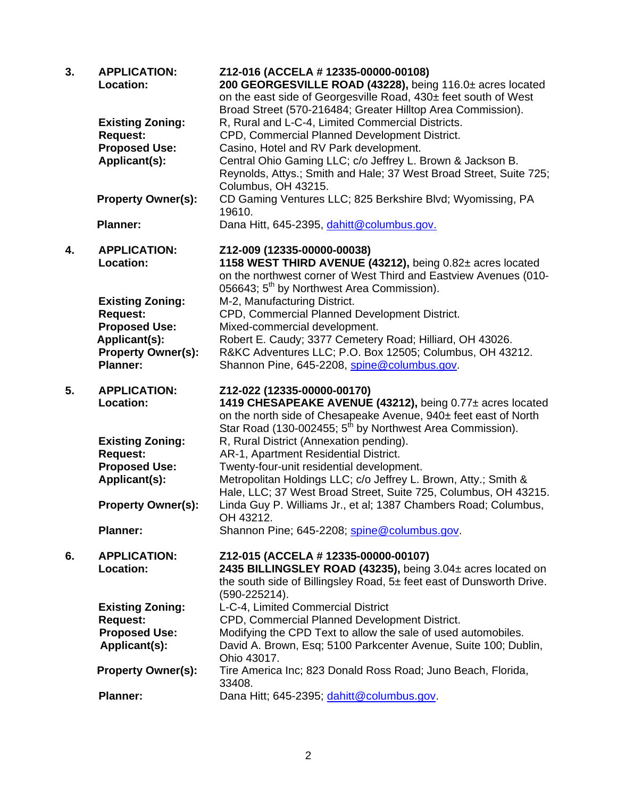| 3. | <b>APPLICATION:</b><br>Location:        | Z12-016 (ACCELA # 12335-00000-00108)<br>200 GEORGESVILLE ROAD (43228), being 116.0± acres located<br>on the east side of Georgesville Road, 430± feet south of West<br>Broad Street (570-216484; Greater Hilltop Area Commission). |
|----|-----------------------------------------|------------------------------------------------------------------------------------------------------------------------------------------------------------------------------------------------------------------------------------|
|    | <b>Existing Zoning:</b>                 | R, Rural and L-C-4, Limited Commercial Districts.                                                                                                                                                                                  |
|    | <b>Request:</b>                         | CPD, Commercial Planned Development District.                                                                                                                                                                                      |
|    | <b>Proposed Use:</b>                    | Casino, Hotel and RV Park development.                                                                                                                                                                                             |
|    | Applicant(s):                           | Central Ohio Gaming LLC; c/o Jeffrey L. Brown & Jackson B.<br>Reynolds, Attys.; Smith and Hale; 37 West Broad Street, Suite 725;                                                                                                   |
|    |                                         | Columbus, OH 43215.                                                                                                                                                                                                                |
|    | <b>Property Owner(s):</b>               | CD Gaming Ventures LLC; 825 Berkshire Blvd; Wyomissing, PA                                                                                                                                                                         |
|    |                                         | 19610.                                                                                                                                                                                                                             |
|    | <b>Planner:</b>                         | Dana Hitt, 645-2395, dahitt@columbus.gov.                                                                                                                                                                                          |
| 4. | <b>APPLICATION:</b>                     | Z12-009 (12335-00000-00038)                                                                                                                                                                                                        |
|    | Location:                               | 1158 WEST THIRD AVENUE (43212), being 0.82± acres located                                                                                                                                                                          |
|    |                                         | on the northwest corner of West Third and Eastview Avenues (010-                                                                                                                                                                   |
|    | <b>Existing Zoning:</b>                 | 056643; 5 <sup>th</sup> by Northwest Area Commission).<br>M-2, Manufacturing District.                                                                                                                                             |
|    | <b>Request:</b>                         | CPD, Commercial Planned Development District.                                                                                                                                                                                      |
|    | <b>Proposed Use:</b>                    | Mixed-commercial development.                                                                                                                                                                                                      |
|    | Applicant(s):                           | Robert E. Caudy; 3377 Cemetery Road; Hilliard, OH 43026.                                                                                                                                                                           |
|    | <b>Property Owner(s):</b>               | R&KC Adventures LLC; P.O. Box 12505; Columbus, OH 43212.                                                                                                                                                                           |
|    | <b>Planner:</b>                         | Shannon Pine, 645-2208, spine@columbus.gov.                                                                                                                                                                                        |
|    |                                         |                                                                                                                                                                                                                                    |
| 5. | <b>APPLICATION:</b>                     | Z12-022 (12335-00000-00170)                                                                                                                                                                                                        |
|    | Location:                               | 1419 CHESAPEAKE AVENUE (43212), being 0.77± acres located                                                                                                                                                                          |
|    |                                         | on the north side of Chesapeake Avenue, 940± feet east of North                                                                                                                                                                    |
|    |                                         | Star Road (130-002455; 5 <sup>th</sup> by Northwest Area Commission).                                                                                                                                                              |
|    | <b>Existing Zoning:</b>                 | R, Rural District (Annexation pending).                                                                                                                                                                                            |
|    | <b>Request:</b><br><b>Proposed Use:</b> | AR-1, Apartment Residential District.<br>Twenty-four-unit residential development.                                                                                                                                                 |
|    | Applicant(s):                           | Metropolitan Holdings LLC; c/o Jeffrey L. Brown, Atty.; Smith &                                                                                                                                                                    |
|    |                                         | Hale, LLC; 37 West Broad Street, Suite 725, Columbus, OH 43215.                                                                                                                                                                    |
|    | <b>Property Owner(s):</b>               | Linda Guy P. Williams Jr., et al; 1387 Chambers Road; Columbus,                                                                                                                                                                    |
|    |                                         | OH 43212.                                                                                                                                                                                                                          |
|    | <b>Planner:</b>                         | Shannon Pine; 645-2208; spine@columbus.gov.                                                                                                                                                                                        |
| 6. | <b>APPLICATION:</b>                     | Z12-015 (ACCELA # 12335-00000-00107)                                                                                                                                                                                               |
|    | Location:                               | 2435 BILLINGSLEY ROAD (43235), being 3.04± acres located on                                                                                                                                                                        |
|    |                                         | the south side of Billingsley Road, 5± feet east of Dunsworth Drive.                                                                                                                                                               |
|    | <b>Existing Zoning:</b>                 | (590-225214).<br>L-C-4, Limited Commercial District                                                                                                                                                                                |
|    | <b>Request:</b>                         | CPD, Commercial Planned Development District.                                                                                                                                                                                      |
|    | <b>Proposed Use:</b>                    | Modifying the CPD Text to allow the sale of used automobiles.                                                                                                                                                                      |
|    | Applicant(s):                           | David A. Brown, Esq; 5100 Parkcenter Avenue, Suite 100; Dublin,                                                                                                                                                                    |
|    |                                         | Ohio 43017.                                                                                                                                                                                                                        |
|    | <b>Property Owner(s):</b>               | Tire America Inc; 823 Donald Ross Road; Juno Beach, Florida,<br>33408.                                                                                                                                                             |